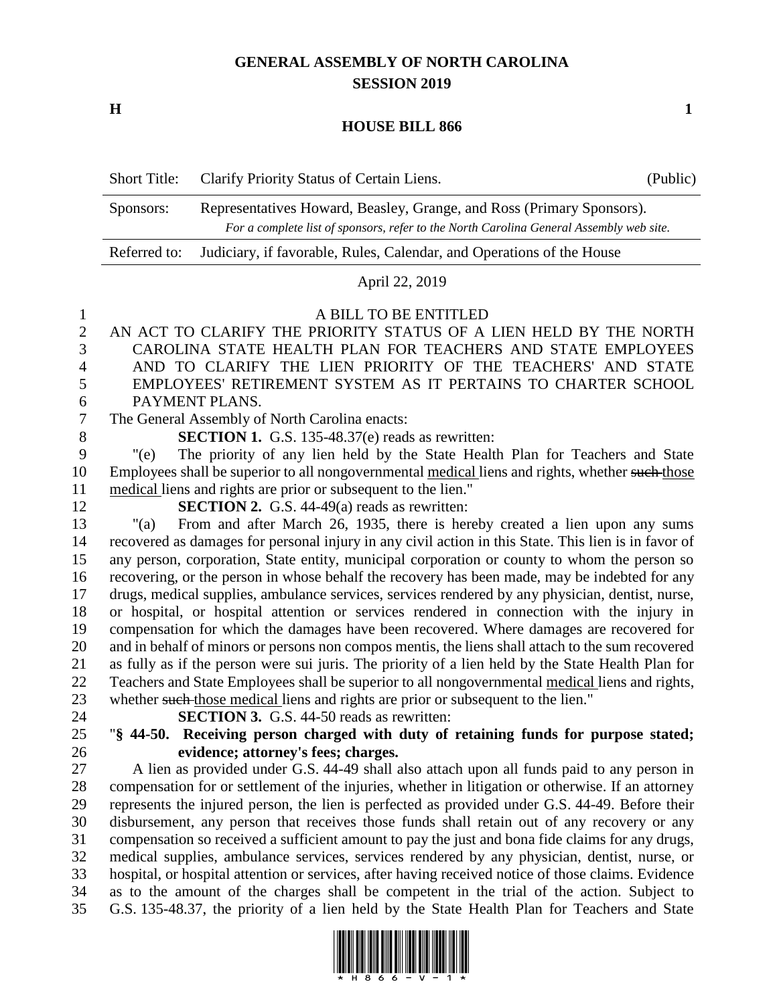# **GENERAL ASSEMBLY OF NORTH CAROLINA SESSION 2019**

**H 1**

#### **HOUSE BILL 866**

| <b>Short Title:</b> | Clarify Priority Status of Certain Liens.                                                                                                                        | (Public) |
|---------------------|------------------------------------------------------------------------------------------------------------------------------------------------------------------|----------|
| Sponsors:           | Representatives Howard, Beasley, Grange, and Ross (Primary Sponsors).<br>For a complete list of sponsors, refer to the North Carolina General Assembly web site. |          |
| Referred to:        | Judiciary, if favorable, Rules, Calendar, and Operations of the House                                                                                            |          |

## April 22, 2019

1 A BILL TO BE ENTITLED<br>2 AN ACT TO CLARIFY THE PRIORITY STATUS OF A AN ACT TO CLARIFY THE PRIORITY STATUS OF A LIEN HELD BY THE NORTH CAROLINA STATE HEALTH PLAN FOR TEACHERS AND STATE EMPLOYEES AND TO CLARIFY THE LIEN PRIORITY OF THE TEACHERS' AND STATE EMPLOYEES' RETIREMENT SYSTEM AS IT PERTAINS TO CHARTER SCHOOL 6 PAYMENT PLANS.<br>7 The General Assembly of

The General Assembly of North Carolina enacts:

**SECTION 1.** G.S. 135-48.37(e) reads as rewritten:

 "(e) The priority of any lien held by the State Health Plan for Teachers and State 10 Employees shall be superior to all nongovernmental medical liens and rights, whether such those medical liens and rights are prior or subsequent to the lien."

**SECTION 2.** G.S. 44-49(a) reads as rewritten:

 "(a) From and after March 26, 1935, there is hereby created a lien upon any sums recovered as damages for personal injury in any civil action in this State. This lien is in favor of any person, corporation, State entity, municipal corporation or county to whom the person so recovering, or the person in whose behalf the recovery has been made, may be indebted for any drugs, medical supplies, ambulance services, services rendered by any physician, dentist, nurse, or hospital, or hospital attention or services rendered in connection with the injury in compensation for which the damages have been recovered. Where damages are recovered for and in behalf of minors or persons non compos mentis, the liens shall attach to the sum recovered as fully as if the person were sui juris. The priority of a lien held by the State Health Plan for Teachers and State Employees shall be superior to all nongovernmental medical liens and rights, 23 whether such those medical liens and rights are prior or subsequent to the lien."

**SECTION 3.** G.S. 44-50 reads as rewritten:

 "**§ 44-50. Receiving person charged with duty of retaining funds for purpose stated; evidence; attorney's fees; charges.**

 A lien as provided under G.S. 44-49 shall also attach upon all funds paid to any person in compensation for or settlement of the injuries, whether in litigation or otherwise. If an attorney represents the injured person, the lien is perfected as provided under G.S. 44-49. Before their disbursement, any person that receives those funds shall retain out of any recovery or any compensation so received a sufficient amount to pay the just and bona fide claims for any drugs, medical supplies, ambulance services, services rendered by any physician, dentist, nurse, or hospital, or hospital attention or services, after having received notice of those claims. Evidence as to the amount of the charges shall be competent in the trial of the action. Subject to G.S. 135-48.37, the priority of a lien held by the State Health Plan for Teachers and State